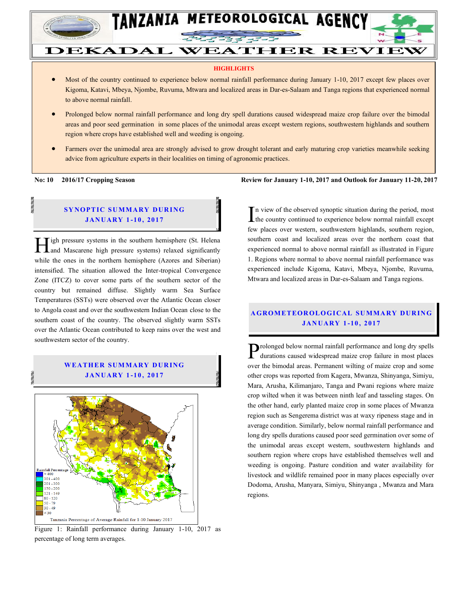

# **DEKADAL WEATHER REVIEW**

TANZANIA METEOROLOGICAL AGENCY

#### **HIGHLIGHTS**

- Most of the country continued to experience below normal rainfall performance during January 1-10, 2017 except few places over Kigoma, Katavi, Mbeya, Njombe, Ruvuma, Mtwara and localized areas in Dar-es-Salaam and Tanga regions that experienced normal to above normal rainfall.
- Prolonged below normal rainfall performance and long dry spell durations caused widespread maize crop failure over the bimodal areas and poor seed germination in some places of the unimodal areas except western regions, southwestern highlands and southern region where crops have established well and weeding is ongoing.
- Farmers over the unimodal area are strongly advised to grow drought tolerant and early maturing crop varieties meanwhile seeking advice from agriculture experts in their localities on timing of agronomic practices.

#### **SYNOPTIC SUMMARY DURING JAN UARY 1 -10 , 2017**

**Tigh pressure systems in the southern hemisphere (St. Helena Here** is a measure systems in the southern hemisphere (St. Helena and Mascarene high pressure systems) relaxed significantly while the ones in the northern hemisphere (Azores and Siberian) intensified. The situation allowed the Inter-tropical Convergence Zone (ITCZ) to cover some parts of the southern sector of the country but remained diffuse. Slightly warm Sea Surface Temperatures (SSTs) were observed over the Atlantic Ocean closer to Angola coast and over the southwestern Indian Ocean close to the southern coast of the country. The observed slightly warm SSTs over the Atlantic Ocean contributed to keep rains over the west and southwestern sector of the country.





Figure 1: Rainfall performance during January 1-10, 2017 as percentage of long term averages.

**No: 10 2016/17 Cropping Season Review for January 1-10, 2017 and Outlook for January 11-20, 2017**

n view of the observed synoptic situation during the period, most  $\prod$ n view of the observed synoptic situation during the period, most the country continued to experience below normal rainfall except  $\int$ few places over western, southwestern highlands, southern region, southern coast and localized areas over the northern coast that experienced normal to above normal rainfall as illustrated in Figure 1. Regions where normal to above normal rainfall performance was experienced include Kigoma, Katavi, Mbeya, Njombe, Ruvuma, Mtwara and localized areas in Dar-es-Salaam and Tanga regions.

#### **A GROM ETEOR OLO GICAL SU MMA RY DUR IN G JAN UARY 1 -10 , 2017**

rolonged below normal rainfall performance and long dry spells Prolonged below normal rainfall performance and long dry spells<br>durations caused widespread maize crop failure in most places over the bimodal areas. Permanent wilting of maize crop and some other crops was reported from Kagera, Mwanza, Shinyanga, Simiyu, Mara, Arusha, Kilimanjaro, Tanga and Pwani regions where maize crop wilted when it was between ninth leaf and tasseling stages. On the other hand, early planted maize crop in some places of Mwanza region such as Sengerema district was at waxy ripeness stage and in average condition. Similarly, below normal rainfall performance and long dry spells durations caused poor seed germination over some of the unimodal areas except western, southwestern highlands and southern region where crops have established themselves well and weeding is ongoing. Pasture condition and water availability for livestock and wildlife remained poor in many places especially over Dodoma, Arusha, Manyara, Simiyu, Shinyanga , Mwanza and Mara regions.